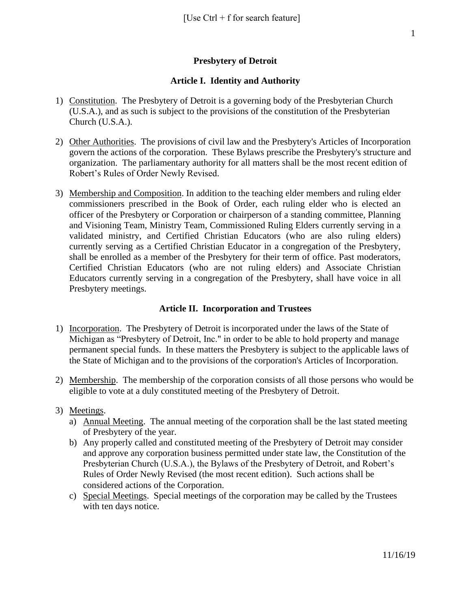## **Presbytery of Detroit**

#### **Article I. Identity and Authority**

- 1) Constitution. The Presbytery of Detroit is a governing body of the Presbyterian Church (U.S.A.), and as such is subject to the provisions of the constitution of the Presbyterian Church (U.S.A.).
- 2) Other Authorities. The provisions of civil law and the Presbytery's Articles of Incorporation govern the actions of the corporation. These Bylaws prescribe the Presbytery's structure and organization. The parliamentary authority for all matters shall be the most recent edition of Robert's Rules of Order Newly Revised.
- 3) Membership and Composition. In addition to the teaching elder members and ruling elder commissioners prescribed in the Book of Order, each ruling elder who is elected an officer of the Presbytery or Corporation or chairperson of a standing committee, Planning and Visioning Team, Ministry Team, Commissioned Ruling Elders currently serving in a validated ministry, and Certified Christian Educators (who are also ruling elders) currently serving as a Certified Christian Educator in a congregation of the Presbytery, shall be enrolled as a member of the Presbytery for their term of office. Past moderators, Certified Christian Educators (who are not ruling elders) and Associate Christian Educators currently serving in a congregation of the Presbytery, shall have voice in all Presbytery meetings.

#### **Article II. Incorporation and Trustees**

- 1) Incorporation. The Presbytery of Detroit is incorporated under the laws of the State of Michigan as "Presbytery of Detroit, Inc." in order to be able to hold property and manage permanent special funds. In these matters the Presbytery is subject to the applicable laws of the State of Michigan and to the provisions of the corporation's Articles of Incorporation.
- 2) Membership. The membership of the corporation consists of all those persons who would be eligible to vote at a duly constituted meeting of the Presbytery of Detroit.
- 3) Meetings.
	- a) Annual Meeting. The annual meeting of the corporation shall be the last stated meeting of Presbytery of the year.
	- b) Any properly called and constituted meeting of the Presbytery of Detroit may consider and approve any corporation business permitted under state law, the Constitution of the Presbyterian Church (U.S.A.), the Bylaws of the Presbytery of Detroit, and Robert's Rules of Order Newly Revised (the most recent edition). Such actions shall be considered actions of the Corporation.
	- c) Special Meetings. Special meetings of the corporation may be called by the Trustees with ten days notice.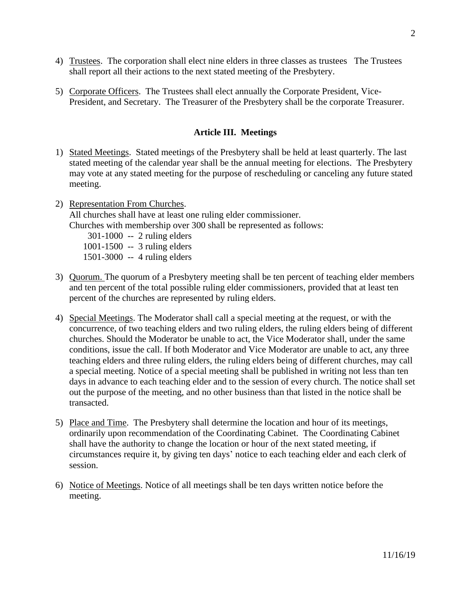- 4) Trustees. The corporation shall elect nine elders in three classes as trustees The Trustees shall report all their actions to the next stated meeting of the Presbytery.
- 5) Corporate Officers. The Trustees shall elect annually the Corporate President, Vice-President, and Secretary. The Treasurer of the Presbytery shall be the corporate Treasurer.

### **Article III. Meetings**

- 1) Stated Meetings. Stated meetings of the Presbytery shall be held at least quarterly. The last stated meeting of the calendar year shall be the annual meeting for elections. The Presbytery may vote at any stated meeting for the purpose of rescheduling or canceling any future stated meeting.
- 2) Representation From Churches. All churches shall have at least one ruling elder commissioner. Churches with membership over 300 shall be represented as follows: 301-1000 -- 2 ruling elders 1001-1500 -- 3 ruling elders 1501-3000 -- 4 ruling elders
- 3) Quorum. The quorum of a Presbytery meeting shall be ten percent of teaching elder members and ten percent of the total possible ruling elder commissioners, provided that at least ten percent of the churches are represented by ruling elders.
- 4) Special Meetings. The Moderator shall call a special meeting at the request, or with the concurrence, of two teaching elders and two ruling elders, the ruling elders being of different churches. Should the Moderator be unable to act, the Vice Moderator shall, under the same conditions, issue the call. If both Moderator and Vice Moderator are unable to act, any three teaching elders and three ruling elders, the ruling elders being of different churches, may call a special meeting. Notice of a special meeting shall be published in writing not less than ten days in advance to each teaching elder and to the session of every church. The notice shall set out the purpose of the meeting, and no other business than that listed in the notice shall be transacted.
- 5) Place and Time. The Presbytery shall determine the location and hour of its meetings, ordinarily upon recommendation of the Coordinating Cabinet. The Coordinating Cabinet shall have the authority to change the location or hour of the next stated meeting, if circumstances require it, by giving ten days' notice to each teaching elder and each clerk of session.
- 6) Notice of Meetings. Notice of all meetings shall be ten days written notice before the meeting.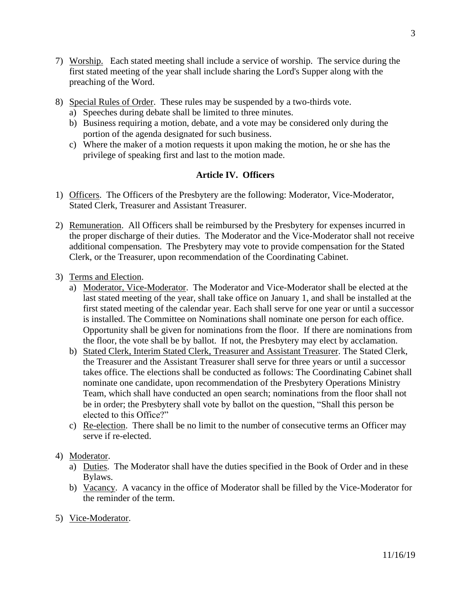- 7) Worship. Each stated meeting shall include a service of worship. The service during the first stated meeting of the year shall include sharing the Lord's Supper along with the preaching of the Word.
- 8) Special Rules of Order. These rules may be suspended by a two-thirds vote.
	- a) Speeches during debate shall be limited to three minutes.
	- b) Business requiring a motion, debate, and a vote may be considered only during the portion of the agenda designated for such business.
	- c) Where the maker of a motion requests it upon making the motion, he or she has the privilege of speaking first and last to the motion made.

## **Article IV. Officers**

- 1) Officers. The Officers of the Presbytery are the following: Moderator, Vice-Moderator, Stated Clerk, Treasurer and Assistant Treasurer.
- 2) Remuneration. All Officers shall be reimbursed by the Presbytery for expenses incurred in the proper discharge of their duties. The Moderator and the Vice-Moderator shall not receive additional compensation. The Presbytery may vote to provide compensation for the Stated Clerk, or the Treasurer, upon recommendation of the Coordinating Cabinet.
- 3) Terms and Election.
	- a) Moderator, Vice-Moderator. The Moderator and Vice-Moderator shall be elected at the last stated meeting of the year, shall take office on January 1, and shall be installed at the first stated meeting of the calendar year. Each shall serve for one year or until a successor is installed. The Committee on Nominations shall nominate one person for each office. Opportunity shall be given for nominations from the floor. If there are nominations from the floor, the vote shall be by ballot. If not, the Presbytery may elect by acclamation.
	- b) Stated Clerk, Interim Stated Clerk, Treasurer and Assistant Treasurer. The Stated Clerk, the Treasurer and the Assistant Treasurer shall serve for three years or until a successor takes office. The elections shall be conducted as follows: The Coordinating Cabinet shall nominate one candidate, upon recommendation of the Presbytery Operations Ministry Team, which shall have conducted an open search; nominations from the floor shall not be in order; the Presbytery shall vote by ballot on the question, "Shall this person be elected to this Office?"
	- c) Re-election. There shall be no limit to the number of consecutive terms an Officer may serve if re-elected.

# 4) Moderator.

- a) Duties. The Moderator shall have the duties specified in the Book of Order and in these Bylaws.
- b) Vacancy. A vacancy in the office of Moderator shall be filled by the Vice-Moderator for the reminder of the term.
- 5) Vice-Moderator.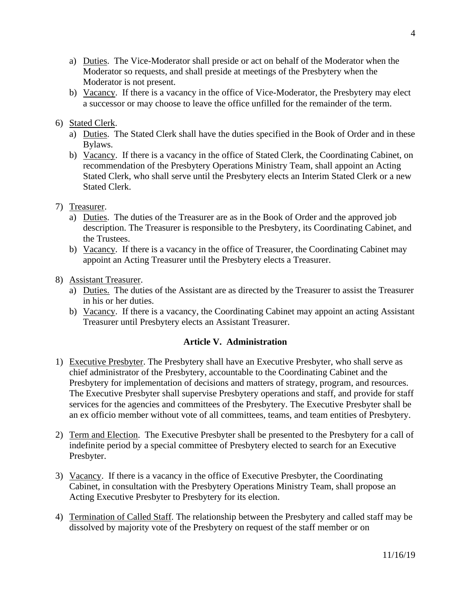- a) Duties. The Vice-Moderator shall preside or act on behalf of the Moderator when the Moderator so requests, and shall preside at meetings of the Presbytery when the Moderator is not present.
- b) Vacancy. If there is a vacancy in the office of Vice-Moderator, the Presbytery may elect a successor or may choose to leave the office unfilled for the remainder of the term.

# 6) Stated Clerk.

- a) Duties. The Stated Clerk shall have the duties specified in the Book of Order and in these Bylaws.
- b) Vacancy. If there is a vacancy in the office of Stated Clerk, the Coordinating Cabinet, on recommendation of the Presbytery Operations Ministry Team, shall appoint an Acting Stated Clerk, who shall serve until the Presbytery elects an Interim Stated Clerk or a new Stated Clerk.

# 7) Treasurer.

- a) Duties. The duties of the Treasurer are as in the Book of Order and the approved job description. The Treasurer is responsible to the Presbytery, its Coordinating Cabinet, and the Trustees.
- b) Vacancy. If there is a vacancy in the office of Treasurer, the Coordinating Cabinet may appoint an Acting Treasurer until the Presbytery elects a Treasurer.

# 8) Assistant Treasurer.

- a) Duties. The duties of the Assistant are as directed by the Treasurer to assist the Treasurer in his or her duties.
- b) Vacancy. If there is a vacancy, the Coordinating Cabinet may appoint an acting Assistant Treasurer until Presbytery elects an Assistant Treasurer.

# **Article V. Administration**

- 1) Executive Presbyter. The Presbytery shall have an Executive Presbyter, who shall serve as chief administrator of the Presbytery, accountable to the Coordinating Cabinet and the Presbytery for implementation of decisions and matters of strategy, program, and resources. The Executive Presbyter shall supervise Presbytery operations and staff, and provide for staff services for the agencies and committees of the Presbytery. The Executive Presbyter shall be an ex officio member without vote of all committees, teams, and team entities of Presbytery.
- 2) Term and Election. The Executive Presbyter shall be presented to the Presbytery for a call of indefinite period by a special committee of Presbytery elected to search for an Executive Presbyter.
- 3) Vacancy. If there is a vacancy in the office of Executive Presbyter, the Coordinating Cabinet, in consultation with the Presbytery Operations Ministry Team, shall propose an Acting Executive Presbyter to Presbytery for its election.
- 4) Termination of Called Staff. The relationship between the Presbytery and called staff may be dissolved by majority vote of the Presbytery on request of the staff member or on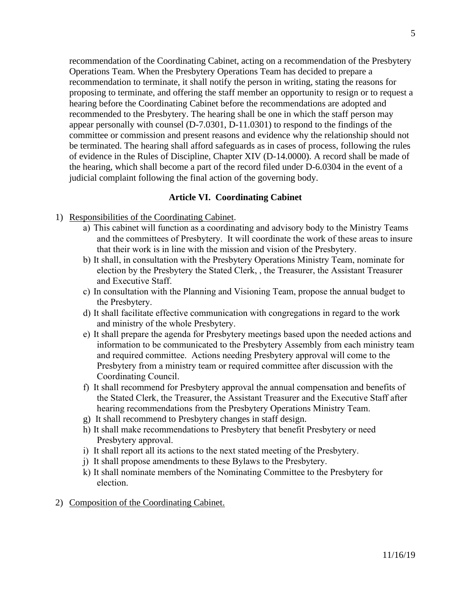recommendation of the Coordinating Cabinet, acting on a recommendation of the Presbytery Operations Team. When the Presbytery Operations Team has decided to prepare a recommendation to terminate, it shall notify the person in writing, stating the reasons for proposing to terminate, and offering the staff member an opportunity to resign or to request a hearing before the Coordinating Cabinet before the recommendations are adopted and recommended to the Presbytery. The hearing shall be one in which the staff person may appear personally with counsel (D-7.0301, D-11.0301) to respond to the findings of the committee or commission and present reasons and evidence why the relationship should not be terminated. The hearing shall afford safeguards as in cases of process, following the rules of evidence in the Rules of Discipline, Chapter XIV (D-14.0000). A record shall be made of the hearing, which shall become a part of the record filed under D-6.0304 in the event of a judicial complaint following the final action of the governing body.

### **Article VI. Coordinating Cabinet**

- 1) Responsibilities of the Coordinating Cabinet.
	- a) This cabinet will function as a coordinating and advisory body to the Ministry Teams and the committees of Presbytery. It will coordinate the work of these areas to insure that their work is in line with the mission and vision of the Presbytery.
	- b) It shall, in consultation with the Presbytery Operations Ministry Team, nominate for election by the Presbytery the Stated Clerk, , the Treasurer, the Assistant Treasurer and Executive Staff.
	- c) In consultation with the Planning and Visioning Team, propose the annual budget to the Presbytery.
	- d) It shall facilitate effective communication with congregations in regard to the work and ministry of the whole Presbytery.
	- e) It shall prepare the agenda for Presbytery meetings based upon the needed actions and information to be communicated to the Presbytery Assembly from each ministry team and required committee. Actions needing Presbytery approval will come to the Presbytery from a ministry team or required committee after discussion with the Coordinating Council.
	- f) It shall recommend for Presbytery approval the annual compensation and benefits of the Stated Clerk, the Treasurer, the Assistant Treasurer and the Executive Staff after hearing recommendations from the Presbytery Operations Ministry Team.
	- g) It shall recommend to Presbytery changes in staff design.
	- h) It shall make recommendations to Presbytery that benefit Presbytery or need Presbytery approval.
	- i) It shall report all its actions to the next stated meeting of the Presbytery.
	- j) It shall propose amendments to these Bylaws to the Presbytery.
	- k) It shall nominate members of the Nominating Committee to the Presbytery for election.
- 2) Composition of the Coordinating Cabinet.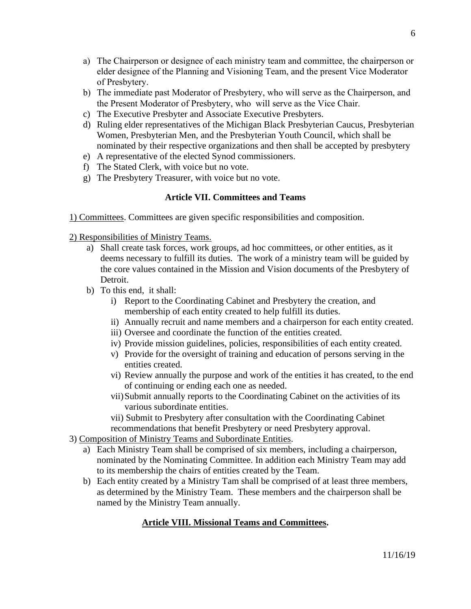- a) The Chairperson or designee of each ministry team and committee, the chairperson or elder designee of the Planning and Visioning Team, and the present Vice Moderator of Presbytery.
- b) The immediate past Moderator of Presbytery, who will serve as the Chairperson, and the Present Moderator of Presbytery, who will serve as the Vice Chair.
- c) The Executive Presbyter and Associate Executive Presbyters.
- d) Ruling elder representatives of the Michigan Black Presbyterian Caucus, Presbyterian Women, Presbyterian Men, and the Presbyterian Youth Council, which shall be nominated by their respective organizations and then shall be accepted by presbytery
- e) A representative of the elected Synod commissioners.
- f) The Stated Clerk, with voice but no vote.
- g) The Presbytery Treasurer, with voice but no vote.

### **Article VII. Committees and Teams**

1) Committees. Committees are given specific responsibilities and composition.

2) Responsibilities of Ministry Teams.

- a) Shall create task forces, work groups, ad hoc committees, or other entities, as it deems necessary to fulfill its duties. The work of a ministry team will be guided by the core values contained in the Mission and Vision documents of the Presbytery of Detroit.
- b) To this end, it shall:
	- i) Report to the Coordinating Cabinet and Presbytery the creation, and membership of each entity created to help fulfill its duties.
	- ii) Annually recruit and name members and a chairperson for each entity created.
	- iii) Oversee and coordinate the function of the entities created.
	- iv) Provide mission guidelines, policies, responsibilities of each entity created.
	- v) Provide for the oversight of training and education of persons serving in the entities created.
	- vi) Review annually the purpose and work of the entities it has created, to the end of continuing or ending each one as needed.
	- vii)Submit annually reports to the Coordinating Cabinet on the activities of its various subordinate entities.
	- vii) Submit to Presbytery after consultation with the Coordinating Cabinet recommendations that benefit Presbytery or need Presbytery approval.
- 3) Composition of Ministry Teams and Subordinate Entities.
	- a) Each Ministry Team shall be comprised of six members, including a chairperson, nominated by the Nominating Committee. In addition each Ministry Team may add to its membership the chairs of entities created by the Team.
	- b) Each entity created by a Ministry Tam shall be comprised of at least three members, as determined by the Ministry Team. These members and the chairperson shall be named by the Ministry Team annually.

# **Article VIII. Missional Teams and Committees.**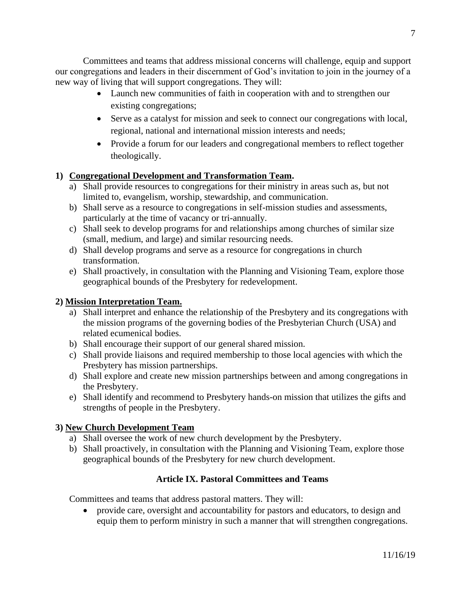Committees and teams that address missional concerns will challenge, equip and support our congregations and leaders in their discernment of God's invitation to join in the journey of a new way of living that will support congregations. They will:

- Launch new communities of faith in cooperation with and to strengthen our existing congregations;
- Serve as a catalyst for mission and seek to connect our congregations with local, regional, national and international mission interests and needs;
- Provide a forum for our leaders and congregational members to reflect together theologically.

# **1) Congregational Development and Transformation Team.**

- a) Shall provide resources to congregations for their ministry in areas such as, but not limited to, evangelism, worship, stewardship, and communication.
- b) Shall serve as a resource to congregations in self-mission studies and assessments, particularly at the time of vacancy or tri-annually.
- c) Shall seek to develop programs for and relationships among churches of similar size (small, medium, and large) and similar resourcing needs.
- d) Shall develop programs and serve as a resource for congregations in church transformation.
- e) Shall proactively, in consultation with the Planning and Visioning Team, explore those geographical bounds of the Presbytery for redevelopment.

# **2) Mission Interpretation Team.**

- a) Shall interpret and enhance the relationship of the Presbytery and its congregations with the mission programs of the governing bodies of the Presbyterian Church (USA) and related ecumenical bodies.
- b) Shall encourage their support of our general shared mission.
- c) Shall provide liaisons and required membership to those local agencies with which the Presbytery has mission partnerships.
- d) Shall explore and create new mission partnerships between and among congregations in the Presbytery.
- e) Shall identify and recommend to Presbytery hands-on mission that utilizes the gifts and strengths of people in the Presbytery.

# **3) New Church Development Team**

- a) Shall oversee the work of new church development by the Presbytery.
- b) Shall proactively, in consultation with the Planning and Visioning Team, explore those geographical bounds of the Presbytery for new church development.

# **Article IX. Pastoral Committees and Teams**

Committees and teams that address pastoral matters. They will:

• provide care, oversight and accountability for pastors and educators, to design and equip them to perform ministry in such a manner that will strengthen congregations.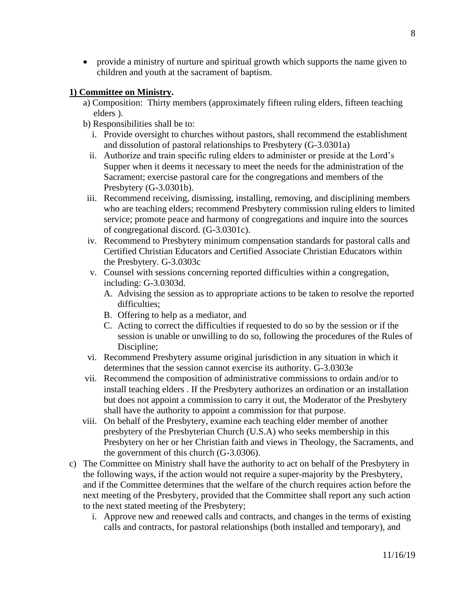• provide a ministry of nurture and spiritual growth which supports the name given to children and youth at the sacrament of baptism.

## **1) Committee on Ministry.**

- a) Composition: Thirty members (approximately fifteen ruling elders, fifteen teaching elders ).
- b) Responsibilities shall be to:
	- i. Provide oversight to churches without pastors, shall recommend the establishment and dissolution of pastoral relationships to Presbytery (G-3.0301a)
	- ii. Authorize and train specific ruling elders to administer or preside at the Lord's Supper when it deems it necessary to meet the needs for the administration of the Sacrament; exercise pastoral care for the congregations and members of the Presbytery (G-3.0301b).
- iii. Recommend receiving, dismissing, installing, removing, and disciplining members who are teaching elders; recommend Presbytery commission ruling elders to limited service; promote peace and harmony of congregations and inquire into the sources of congregational discord. (G-3.0301c).
- iv. Recommend to Presbytery minimum compensation standards for pastoral calls and Certified Christian Educators and Certified Associate Christian Educators within the Presbytery. G-3.0303c
- v. Counsel with sessions concerning reported difficulties within a congregation, including: G-3.0303d.
	- A. Advising the session as to appropriate actions to be taken to resolve the reported difficulties;
	- B. Offering to help as a mediator, and
	- C. Acting to correct the difficulties if requested to do so by the session or if the session is unable or unwilling to do so, following the procedures of the Rules of Discipline;
- vi. Recommend Presbytery assume original jurisdiction in any situation in which it determines that the session cannot exercise its authority. G-3.0303e
- vii. Recommend the composition of administrative commissions to ordain and/or to install teaching elders . If the Presbytery authorizes an ordination or an installation but does not appoint a commission to carry it out, the Moderator of the Presbytery shall have the authority to appoint a commission for that purpose.
- viii. On behalf of the Presbytery, examine each teaching elder member of another presbytery of the Presbyterian Church (U.S.A) who seeks membership in this Presbytery on her or her Christian faith and views in Theology, the Sacraments, and the government of this church (G-3.0306).
- c) The Committee on Ministry shall have the authority to act on behalf of the Presbytery in the following ways, if the action would not require a super-majority by the Presbytery, and if the Committee determines that the welfare of the church requires action before the next meeting of the Presbytery, provided that the Committee shall report any such action to the next stated meeting of the Presbytery;
	- i. Approve new and renewed calls and contracts, and changes in the terms of existing calls and contracts, for pastoral relationships (both installed and temporary), and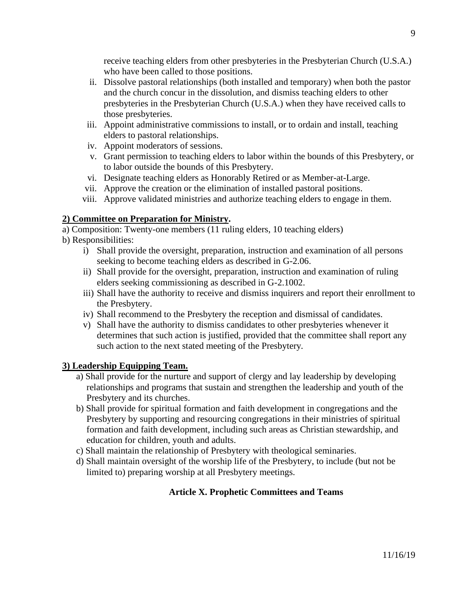receive teaching elders from other presbyteries in the Presbyterian Church (U.S.A.) who have been called to those positions.

- ii. Dissolve pastoral relationships (both installed and temporary) when both the pastor and the church concur in the dissolution, and dismiss teaching elders to other presbyteries in the Presbyterian Church (U.S.A.) when they have received calls to those presbyteries.
- iii. Appoint administrative commissions to install, or to ordain and install, teaching elders to pastoral relationships.
- iv. Appoint moderators of sessions.
- v. Grant permission to teaching elders to labor within the bounds of this Presbytery, or to labor outside the bounds of this Presbytery.
- vi. Designate teaching elders as Honorably Retired or as Member-at-Large.
- vii. Approve the creation or the elimination of installed pastoral positions.
- viii. Approve validated ministries and authorize teaching elders to engage in them.

## **2) Committee on Preparation for Ministry.**

a) Composition: Twenty-one members (11 ruling elders, 10 teaching elders)

- b) Responsibilities:
	- i) Shall provide the oversight, preparation, instruction and examination of all persons seeking to become teaching elders as described in G-2.06.
	- ii) Shall provide for the oversight, preparation, instruction and examination of ruling elders seeking commissioning as described in G-2.1002.
	- iii) Shall have the authority to receive and dismiss inquirers and report their enrollment to the Presbytery.
	- iv) Shall recommend to the Presbytery the reception and dismissal of candidates.
	- v) Shall have the authority to dismiss candidates to other presbyteries whenever it determines that such action is justified, provided that the committee shall report any such action to the next stated meeting of the Presbytery*.*

### **3) Leadership Equipping Team.**

- a) Shall provide for the nurture and support of clergy and lay leadership by developing relationships and programs that sustain and strengthen the leadership and youth of the Presbytery and its churches.
- b) Shall provide for spiritual formation and faith development in congregations and the Presbytery by supporting and resourcing congregations in their ministries of spiritual formation and faith development, including such areas as Christian stewardship, and education for children, youth and adults.
- c) Shall maintain the relationship of Presbytery with theological seminaries.
- d) Shall maintain oversight of the worship life of the Presbytery, to include (but not be limited to) preparing worship at all Presbytery meetings.

# **Article X. Prophetic Committees and Teams**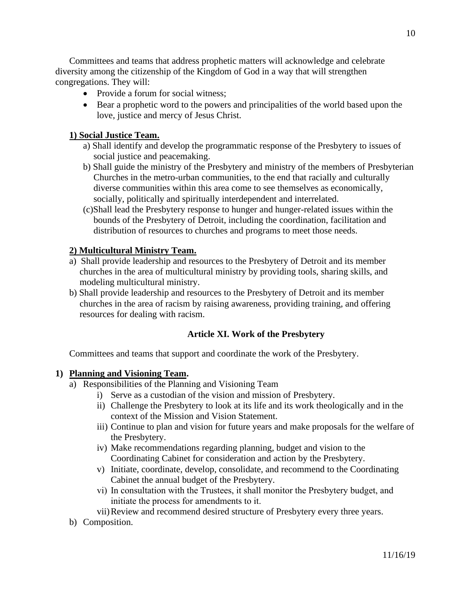Committees and teams that address prophetic matters will acknowledge and celebrate diversity among the citizenship of the Kingdom of God in a way that will strengthen congregations. They will:

- Provide a forum for social witness;
- Bear a prophetic word to the powers and principalities of the world based upon the love, justice and mercy of Jesus Christ.

## **1) Social Justice Team.**

- a) Shall identify and develop the programmatic response of the Presbytery to issues of social justice and peacemaking.
- b) Shall guide the ministry of the Presbytery and ministry of the members of Presbyterian Churches in the metro-urban communities, to the end that racially and culturally diverse communities within this area come to see themselves as economically, socially, politically and spiritually interdependent and interrelated.
- (c)Shall lead the Presbytery response to hunger and hunger-related issues within the bounds of the Presbytery of Detroit, including the coordination, facilitation and distribution of resources to churches and programs to meet those needs.

## **2) Multicultural Ministry Team.**

- a) Shall provide leadership and resources to the Presbytery of Detroit and its member churches in the area of multicultural ministry by providing tools, sharing skills, and modeling multicultural ministry.
- b) Shall provide leadership and resources to the Presbytery of Detroit and its member churches in the area of racism by raising awareness, providing training, and offering resources for dealing with racism.

### **Article XI. Work of the Presbytery**

Committees and teams that support and coordinate the work of the Presbytery.

### **1) Planning and Visioning Team.**

- a) Responsibilities of the Planning and Visioning Team
	- i) Serve as a custodian of the vision and mission of Presbytery.
	- ii) Challenge the Presbytery to look at its life and its work theologically and in the context of the Mission and Vision Statement.
	- iii) Continue to plan and vision for future years and make proposals for the welfare of the Presbytery.
	- iv) Make recommendations regarding planning, budget and vision to the Coordinating Cabinet for consideration and action by the Presbytery.
	- v) Initiate, coordinate, develop, consolidate, and recommend to the Coordinating Cabinet the annual budget of the Presbytery.
	- vi) In consultation with the Trustees, it shall monitor the Presbytery budget, and initiate the process for amendments to it.
	- vii)Review and recommend desired structure of Presbytery every three years.
- b) Composition.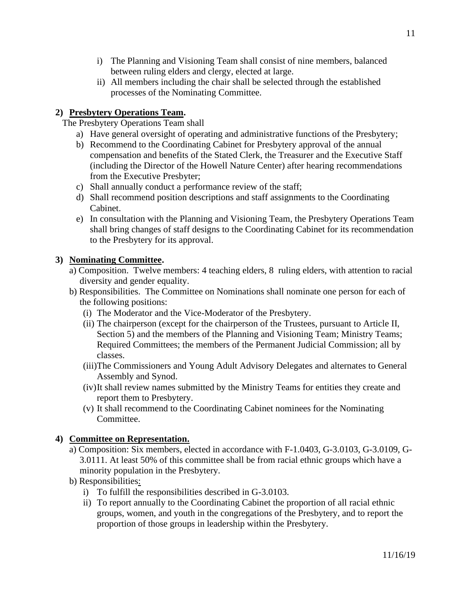- i) The Planning and Visioning Team shall consist of nine members, balanced between ruling elders and clergy, elected at large.
- ii) All members including the chair shall be selected through the established processes of the Nominating Committee.

# **2) Presbytery Operations Team.**

The Presbytery Operations Team shall

- a) Have general oversight of operating and administrative functions of the Presbytery;
- b) Recommend to the Coordinating Cabinet for Presbytery approval of the annual compensation and benefits of the Stated Clerk, the Treasurer and the Executive Staff (including the Director of the Howell Nature Center) after hearing recommendations from the Executive Presbyter;
- c) Shall annually conduct a performance review of the staff;
- d) Shall recommend position descriptions and staff assignments to the Coordinating Cabinet.
- e) In consultation with the Planning and Visioning Team, the Presbytery Operations Team shall bring changes of staff designs to the Coordinating Cabinet for its recommendation to the Presbytery for its approval.

# **3) Nominating Committee.**

- a) Composition. Twelve members: 4 teaching elders, 8 ruling elders, with attention to racial diversity and gender equality.
- b) Responsibilities. The Committee on Nominations shall nominate one person for each of the following positions:
	- (i) The Moderator and the Vice-Moderator of the Presbytery.
	- (ii) The chairperson (except for the chairperson of the Trustees, pursuant to Article II, Section 5) and the members of the Planning and Visioning Team; Ministry Teams; Required Committees; the members of the Permanent Judicial Commission; all by classes.
	- (iii)The Commissioners and Young Adult Advisory Delegates and alternates to General Assembly and Synod.
	- (iv)It shall review names submitted by the Ministry Teams for entities they create and report them to Presbytery.
	- (v) It shall recommend to the Coordinating Cabinet nominees for the Nominating Committee.

# **4) Committee on Representation.**

- a) Composition: Six members, elected in accordance with F-1.0403, G-3.0103, G-3.0109, G-3.0111. At least 50% of this committee shall be from racial ethnic groups which have a minority population in the Presbytery.
- b) Responsibilities:
	- i) To fulfill the responsibilities described in G-3.0103.
	- ii) To report annually to the Coordinating Cabinet the proportion of all racial ethnic groups, women, and youth in the congregations of the Presbytery, and to report the proportion of those groups in leadership within the Presbytery.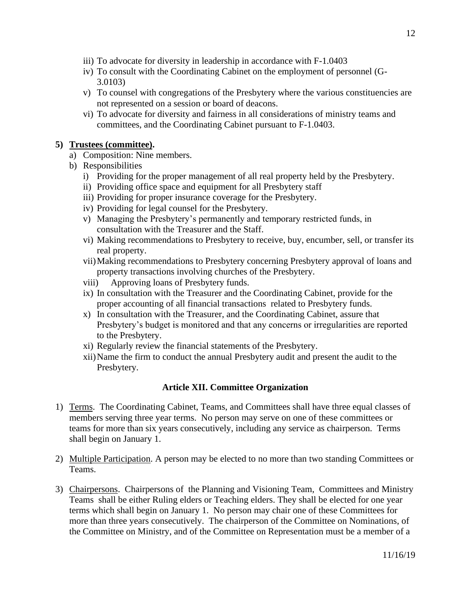- iii) To advocate for diversity in leadership in accordance with F-1.0403
- iv) To consult with the Coordinating Cabinet on the employment of personnel (G-3.0103)
- v) To counsel with congregations of the Presbytery where the various constituencies are not represented on a session or board of deacons.
- vi) To advocate for diversity and fairness in all considerations of ministry teams and committees, and the Coordinating Cabinet pursuant to F-1.0403.

### **5) Trustees (committee).**

- a) Composition: Nine members.
- b) Responsibilities
	- i) Providing for the proper management of all real property held by the Presbytery.
	- ii) Providing office space and equipment for all Presbytery staff
	- iii) Providing for proper insurance coverage for the Presbytery.
	- iv) Providing for legal counsel for the Presbytery.
	- v) Managing the Presbytery's permanently and temporary restricted funds, in consultation with the Treasurer and the Staff.
	- vi) Making recommendations to Presbytery to receive, buy, encumber, sell, or transfer its real property.
	- vii)Making recommendations to Presbytery concerning Presbytery approval of loans and property transactions involving churches of the Presbytery.
	- viii) Approving loans of Presbytery funds.
	- ix) In consultation with the Treasurer and the Coordinating Cabinet, provide for the proper accounting of all financial transactions related to Presbytery funds.
	- x) In consultation with the Treasurer, and the Coordinating Cabinet, assure that Presbytery's budget is monitored and that any concerns or irregularities are reported to the Presbytery.
	- xi) Regularly review the financial statements of the Presbytery.
	- xii)Name the firm to conduct the annual Presbytery audit and present the audit to the Presbytery.

# **Article XII. Committee Organization**

- 1) Terms. The Coordinating Cabinet, Teams, and Committees shall have three equal classes of members serving three year terms. No person may serve on one of these committees or teams for more than six years consecutively, including any service as chairperson. Terms shall begin on January 1.
- 2) Multiple Participation. A person may be elected to no more than two standing Committees or Teams.
- 3) Chairpersons. Chairpersons of the Planning and Visioning Team, Committees and Ministry Teams shall be either Ruling elders or Teaching elders. They shall be elected for one year terms which shall begin on January 1. No person may chair one of these Committees for more than three years consecutively. The chairperson of the Committee on Nominations, of the Committee on Ministry, and of the Committee on Representation must be a member of a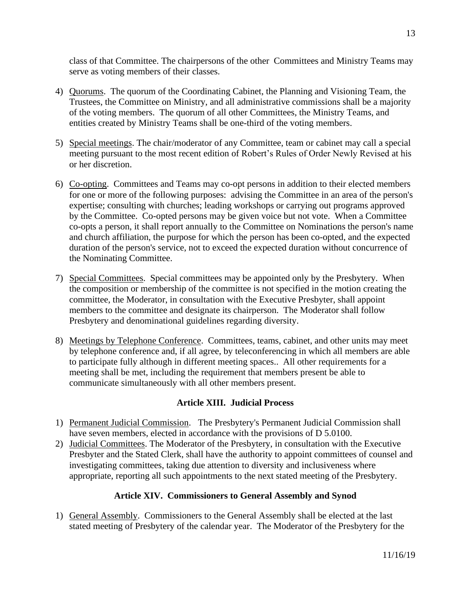class of that Committee. The chairpersons of the other Committees and Ministry Teams may serve as voting members of their classes.

- 4) Quorums. The quorum of the Coordinating Cabinet, the Planning and Visioning Team, the Trustees, the Committee on Ministry, and all administrative commissions shall be a majority of the voting members. The quorum of all other Committees, the Ministry Teams, and entities created by Ministry Teams shall be one-third of the voting members.
- 5) Special meetings. The chair/moderator of any Committee, team or cabinet may call a special meeting pursuant to the most recent edition of Robert's Rules of Order Newly Revised at his or her discretion.
- 6) Co-opting. Committees and Teams may co-opt persons in addition to their elected members for one or more of the following purposes: advising the Committee in an area of the person's expertise; consulting with churches; leading workshops or carrying out programs approved by the Committee. Co-opted persons may be given voice but not vote. When a Committee co-opts a person, it shall report annually to the Committee on Nominations the person's name and church affiliation, the purpose for which the person has been co-opted, and the expected duration of the person's service, not to exceed the expected duration without concurrence of the Nominating Committee.
- 7) Special Committees. Special committees may be appointed only by the Presbytery. When the composition or membership of the committee is not specified in the motion creating the committee, the Moderator, in consultation with the Executive Presbyter, shall appoint members to the committee and designate its chairperson. The Moderator shall follow Presbytery and denominational guidelines regarding diversity.
- 8) Meetings by Telephone Conference. Committees, teams, cabinet, and other units may meet by telephone conference and, if all agree, by teleconferencing in which all members are able to participate fully although in different meeting spaces.. All other requirements for a meeting shall be met, including the requirement that members present be able to communicate simultaneously with all other members present.

# **Article XIII. Judicial Process**

- 1) Permanent Judicial Commission. The Presbytery's Permanent Judicial Commission shall have seven members, elected in accordance with the provisions of D 5.0100.
- 2) Judicial Committees. The Moderator of the Presbytery, in consultation with the Executive Presbyter and the Stated Clerk, shall have the authority to appoint committees of counsel and investigating committees, taking due attention to diversity and inclusiveness where appropriate, reporting all such appointments to the next stated meeting of the Presbytery.

### **Article XIV. Commissioners to General Assembly and Synod**

1) General Assembly. Commissioners to the General Assembly shall be elected at the last stated meeting of Presbytery of the calendar year. The Moderator of the Presbytery for the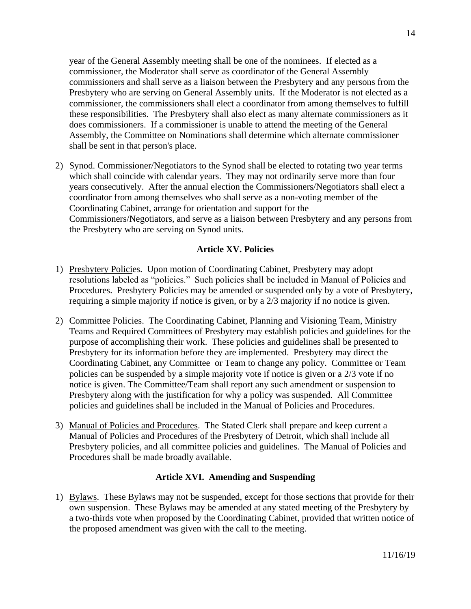year of the General Assembly meeting shall be one of the nominees. If elected as a commissioner, the Moderator shall serve as coordinator of the General Assembly commissioners and shall serve as a liaison between the Presbytery and any persons from the Presbytery who are serving on General Assembly units. If the Moderator is not elected as a commissioner, the commissioners shall elect a coordinator from among themselves to fulfill these responsibilities. The Presbytery shall also elect as many alternate commissioners as it does commissioners. If a commissioner is unable to attend the meeting of the General Assembly, the Committee on Nominations shall determine which alternate commissioner shall be sent in that person's place.

2) Synod. Commissioner/Negotiators to the Synod shall be elected to rotating two year terms which shall coincide with calendar years. They may not ordinarily serve more than four years consecutively. After the annual election the Commissioners/Negotiators shall elect a coordinator from among themselves who shall serve as a non-voting member of the Coordinating Cabinet, arrange for orientation and support for the Commissioners/Negotiators, and serve as a liaison between Presbytery and any persons from the Presbytery who are serving on Synod units.

## **Article XV. Policies**

- 1) Presbytery Policies. Upon motion of Coordinating Cabinet, Presbytery may adopt resolutions labeled as "policies." Such policies shall be included in Manual of Policies and Procedures. Presbytery Policies may be amended or suspended only by a vote of Presbytery, requiring a simple majority if notice is given, or by a 2/3 majority if no notice is given.
- 2) Committee Policies. The Coordinating Cabinet, Planning and Visioning Team, Ministry Teams and Required Committees of Presbytery may establish policies and guidelines for the purpose of accomplishing their work. These policies and guidelines shall be presented to Presbytery for its information before they are implemented. Presbytery may direct the Coordinating Cabinet, any Committee or Team to change any policy. Committee or Team policies can be suspended by a simple majority vote if notice is given or a 2/3 vote if no notice is given. The Committee/Team shall report any such amendment or suspension to Presbytery along with the justification for why a policy was suspended. All Committee policies and guidelines shall be included in the Manual of Policies and Procedures.
- 3) Manual of Policies and Procedures. The Stated Clerk shall prepare and keep current a Manual of Policies and Procedures of the Presbytery of Detroit, which shall include all Presbytery policies, and all committee policies and guidelines. The Manual of Policies and Procedures shall be made broadly available.

### **Article XVI. Amending and Suspending**

1) Bylaws. These Bylaws may not be suspended, except for those sections that provide for their own suspension. These Bylaws may be amended at any stated meeting of the Presbytery by a two-thirds vote when proposed by the Coordinating Cabinet, provided that written notice of the proposed amendment was given with the call to the meeting.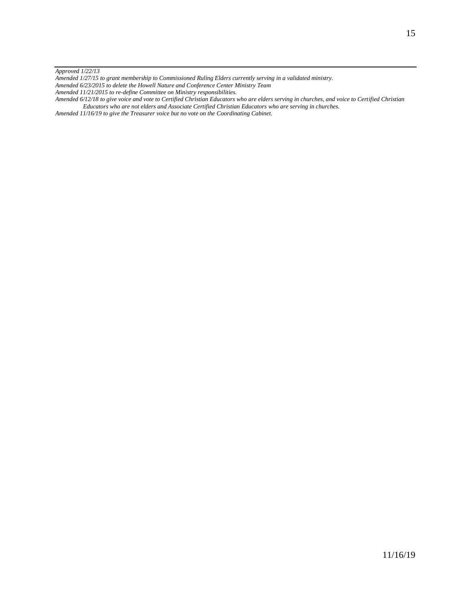*Approved 1/22/13*

*Amended 1/27/15 to grant membership to Commissioned Ruling Elders currently serving in a validated ministry.*

- *Amended 6/23/2015 to delete the Howell Nature and Conference Center Ministry Team*
- *Amended 11/21/2015 to re-define Committee on Ministry responsibilities.*

*Amended 6/12/18 to give voice and vote to Certified Christian Educators who are elders serving in churches, and voice to Certified Christian Educators who are not elders and Associate Certified Christian Educators who are serving in churches.*

*Amended 11/16/19 to give the Treasurer voice but no vote on the Coordinating Cabinet.*